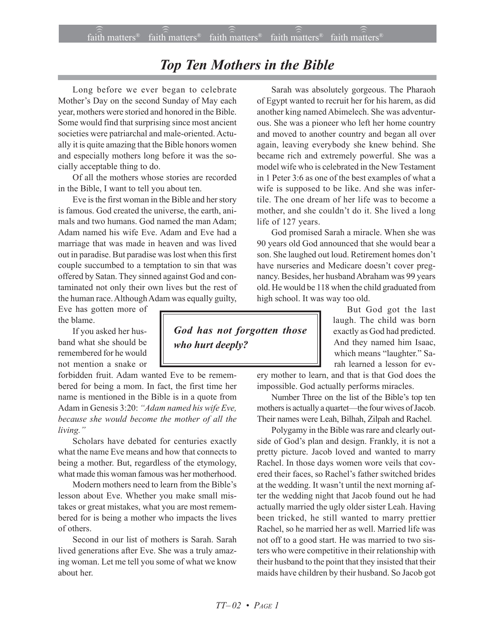## *Top Ten Mothers in the Bible*

Long before we ever began to celebrate Mother's Day on the second Sunday of May each year, mothers were storied and honored in the Bible. Some would find that surprising since most ancient societies were patriarchal and male-oriented. Actually it is quite amazing that the Bible honors women and especially mothers long before it was the socially acceptable thing to do.

Of all the mothers whose stories are recorded in the Bible, I want to tell you about ten.

Eve is the first woman in the Bible and her story is famous. God created the universe, the earth, animals and two humans. God named the man Adam; Adam named his wife Eve. Adam and Eve had a marriage that was made in heaven and was lived out in paradise. But paradise was lost when this first couple succumbed to a temptation to sin that was offered by Satan. They sinned against God and contaminated not only their own lives but the rest of the human race. Although Adam was equally guilty,

Eve has gotten more of the blame.

If you asked her husband what she should be remembered for he would not mention a snake or

forbidden fruit. Adam wanted Eve to be remembered for being a mom. In fact, the first time her name is mentioned in the Bible is in a quote from Adam in Genesis 3:20: *ìAdam named his wife Eve, because she would become the mother of all the* living.<sup>"</sup>

Scholars have debated for centuries exactly what the name Eve means and how that connects to being a mother. But, regardless of the etymology, what made this woman famous was her motherhood.

Modern mothers need to learn from the Bible's lesson about Eve. Whether you make small mistakes or great mistakes, what you are most remembered for is being a mother who impacts the lives of others.

Second in our list of mothers is Sarah. Sarah lived generations after Eve. She was a truly amazing woman. Let me tell you some of what we know about her.

Sarah was absolutely gorgeous. The Pharaoh of Egypt wanted to recruit her for his harem, as did another king named Abimelech. She was adventurous. She was a pioneer who left her home country and moved to another country and began all over again, leaving everybody she knew behind. She became rich and extremely powerful. She was a model wife who is celebrated in the New Testament in 1 Peter 3:6 as one of the best examples of what a wife is supposed to be like. And she was infertile. The one dream of her life was to become a mother, and she couldn't do it. She lived a long life of 127 years.

God promised Sarah a miracle. When she was 90 years old God announced that she would bear a son. She laughed out loud. Retirement homes don't have nurseries and Medicare doesn't cover pregnancy. Besides, her husband Abraham was 99 years old. He would be 118 when the child graduated from high school. It was way too old.

> But God got the last laugh. The child was born exactly as God had predicted. And they named him Isaac, which means "laughter." Sarah learned a lesson for ev-

ery mother to learn, and that is that God does the impossible. God actually performs miracles.

Number Three on the list of the Bible's top ten mothers is actually a quartet—the four wives of Jacob. Their names were Leah, Bilhah, Zilpah and Rachel.

Polygamy in the Bible was rare and clearly outside of God's plan and design. Frankly, it is not a pretty picture. Jacob loved and wanted to marry Rachel. In those days women wore veils that covered their faces, so Rachel's father switched brides at the wedding. It wasn't until the next morning after the wedding night that Jacob found out he had actually married the ugly older sister Leah. Having been tricked, he still wanted to marry prettier Rachel, so he married her as well. Married life was not off to a good start. He was married to two sisters who were competitive in their relationship with their husband to the point that they insisted that their maids have children by their husband. So Jacob got

*God has not forgotten those who hurt deeply?*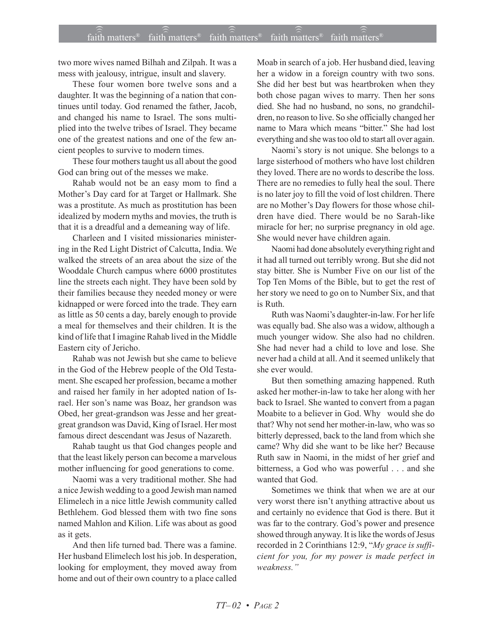two more wives named Bilhah and Zilpah. It was a mess with jealousy, intrigue, insult and slavery.

These four women bore twelve sons and a daughter. It was the beginning of a nation that continues until today. God renamed the father, Jacob, and changed his name to Israel. The sons multiplied into the twelve tribes of Israel. They became one of the greatest nations and one of the few ancient peoples to survive to modern times.

These four mothers taught us all about the good God can bring out of the messes we make.

Rahab would not be an easy mom to find a Mother's Day card for at Target or Hallmark. She was a prostitute. As much as prostitution has been idealized by modern myths and movies, the truth is that it is a dreadful and a demeaning way of life.

Charleen and I visited missionaries ministering in the Red Light District of Calcutta, India. We walked the streets of an area about the size of the Wooddale Church campus where 6000 prostitutes line the streets each night. They have been sold by their families because they needed money or were kidnapped or were forced into the trade. They earn as little as 50 cents a day, barely enough to provide a meal for themselves and their children. It is the kind of life that I imagine Rahab lived in the Middle Eastern city of Jericho.

Rahab was not Jewish but she came to believe in the God of the Hebrew people of the Old Testament. She escaped her profession, became a mother and raised her family in her adopted nation of Israel. Her son's name was Boaz, her grandson was Obed, her great-grandson was Jesse and her greatgreat grandson was David, King of Israel. Her most famous direct descendant was Jesus of Nazareth.

Rahab taught us that God changes people and that the least likely person can become a marvelous mother influencing for good generations to come.

Naomi was a very traditional mother. She had a nice Jewish wedding to a good Jewish man named Elimelech in a nice little Jewish community called Bethlehem. God blessed them with two fine sons named Mahlon and Kilion. Life was about as good as it gets.

And then life turned bad. There was a famine. Her husband Elimelech lost his job. In desperation, looking for employment, they moved away from home and out of their own country to a place called Moab in search of a job. Her husband died, leaving her a widow in a foreign country with two sons. She did her best but was heartbroken when they both chose pagan wives to marry. Then her sons died. She had no husband, no sons, no grandchildren, no reason to live. So she officially changed her name to Mara which means "bitter." She had lost everything and she was too old to start all over again.

Naomi's story is not unique. She belongs to a large sisterhood of mothers who have lost children they loved. There are no words to describe the loss. There are no remedies to fully heal the soul. There is no later joy to fill the void of lost children. There are no Mother's Day flowers for those whose children have died. There would be no Sarah-like miracle for her; no surprise pregnancy in old age. She would never have children again.

Naomi had done absolutely everything right and it had all turned out terribly wrong. But she did not stay bitter. She is Number Five on our list of the Top Ten Moms of the Bible, but to get the rest of her story we need to go on to Number Six, and that is Ruth.

Ruth was Naomi's daughter-in-law. For her life was equally bad. She also was a widow, although a much younger widow. She also had no children. She had never had a child to love and lose. She never had a child at all. And it seemed unlikely that she ever would.

But then something amazing happened. Ruth asked her mother-in-law to take her along with her back to Israel. She wanted to convert from a pagan Moabite to a believer in God. Why would she do that? Why not send her mother-in-law, who was so bitterly depressed, back to the land from which she came? Why did she want to be like her? Because Ruth saw in Naomi, in the midst of her grief and bitterness, a God who was powerful . . . and she wanted that God.

Sometimes we think that when we are at our very worst there isn't anything attractive about us and certainly no evidence that God is there. But it was far to the contrary. God's power and presence showed through anyway. It is like the words of Jesus recorded in 2 Corinthians 12:9, "My grace is suffi*cient for you, for my power is made perfect in* weakness."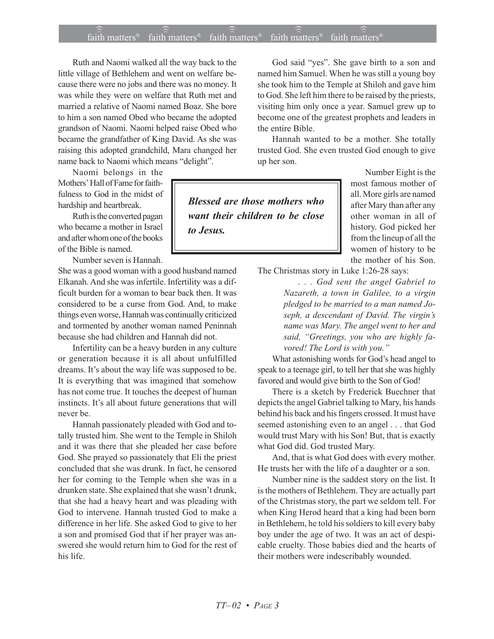## $\widehat{\widehat{\mathfrak{laid}}}$  matters® faith matters® faith matters® faith matters® faith matters®

Ruth and Naomi walked all the way back to the little village of Bethlehem and went on welfare because there were no jobs and there was no money. It was while they were on welfare that Ruth met and married a relative of Naomi named Boaz. She bore to him a son named Obed who became the adopted grandson of Naomi. Naomi helped raise Obed who became the grandfather of King David. As she was raising this adopted grandchild, Mara changed her name back to Naomi which means "delight".

Naomi belongs in the Mothers' Hall of Fame for faithfulness to God in the midst of hardship and heartbreak.

Ruth is the converted pagan who became a mother in Israel and after whom one of the books of the Bible is named.

Number seven is Hannah.

She was a good woman with a good husband named Elkanah. And she was infertile. Infertility was a difficult burden for a woman to bear back then. It was considered to be a curse from God. And, to make things even worse, Hannah was continually criticized and tormented by another woman named Peninnah because she had children and Hannah did not.

Infertility can be a heavy burden in any culture or generation because it is all about unfulfilled dreams. It's about the way life was supposed to be. It is everything that was imagined that somehow has not come true. It touches the deepest of human instincts. It's all about future generations that will never be.

Hannah passionately pleaded with God and totally trusted him. She went to the Temple in Shiloh and it was there that she pleaded her case before God. She prayed so passionately that Eli the priest concluded that she was drunk. In fact, he censored her for coming to the Temple when she was in a drunken state. She explained that she wasn't drunk, that she had a heavy heart and was pleading with God to intervene. Hannah trusted God to make a difference in her life. She asked God to give to her a son and promised God that if her prayer was answered she would return him to God for the rest of his life.

God said "yes". She gave birth to a son and named him Samuel. When he was still a young boy she took him to the Temple at Shiloh and gave him to God. She left him there to be raised by the priests, visiting him only once a year. Samuel grew up to become one of the greatest prophets and leaders in the entire Bible.

Hannah wanted to be a mother. She totally trusted God. She even trusted God enough to give up her son.

*Blessed are those mothers who want their children to be close to Jesus.*

Number Eight is the most famous mother of all. More girls are named after Mary than after any other woman in all of history. God picked her from the lineup of all the women of history to be the mother of his Son.

The Christmas story in Luke 1:26-28 says:

*. . . God sent the angel Gabriel to Nazareth, a town in Galilee, to a virgin pledged to be married to a man named Joseph, a descendant of David. The virginís name was Mary. The angel went to her and* said, "Greetings, you who are highly fa*vored! The Lord is with you.*"

What astonishing words for God's head angel to speak to a teenage girl, to tell her that she was highly favored and would give birth to the Son of God!

There is a sketch by Frederick Buechner that depicts the angel Gabriel talking to Mary, his hands behind his back and his fingers crossed. It must have seemed astonishing even to an angel . . . that God would trust Mary with his Son! But, that is exactly what God did. God trusted Mary.

And, that is what God does with every mother. He trusts her with the life of a daughter or a son.

Number nine is the saddest story on the list. It is the mothers of Bethlehem. They are actually part of the Christmas story, the part we seldom tell. For when King Herod heard that a king had been born in Bethlehem, he told his soldiers to kill every baby boy under the age of two. It was an act of despicable cruelty. Those babies died and the hearts of their mothers were indescribably wounded.